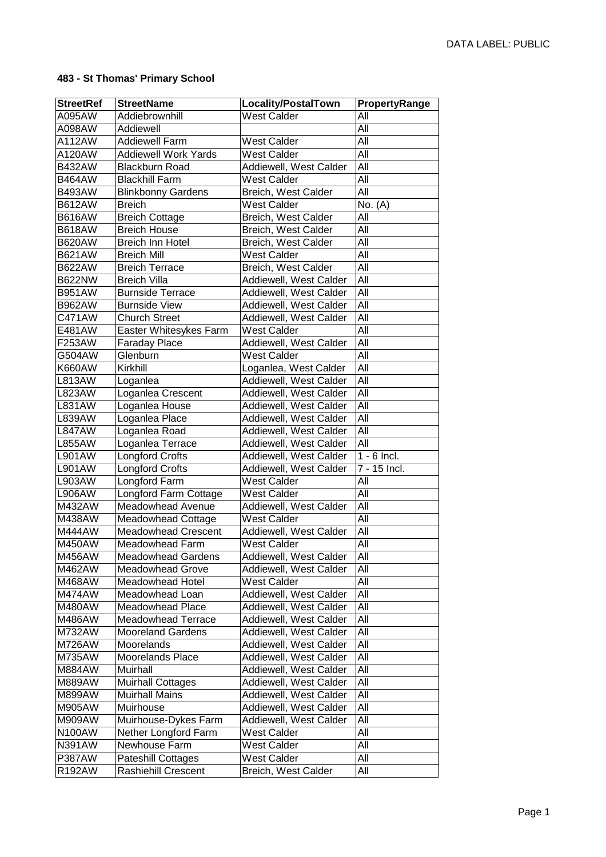## **483 - St Thomas' Primary School**

| <b>StreetRef</b> | <b>StreetName</b>           | <b>Locality/PostalTown</b> | PropertyRange |
|------------------|-----------------------------|----------------------------|---------------|
| A095AW           | Addiebrownhill              | West Calder                | All           |
| A098AW           | Addiewell                   |                            | All           |
| A112AW           | <b>Addiewell Farm</b>       | <b>West Calder</b>         | All           |
| A120AW           | <b>Addiewell Work Yards</b> | <b>West Calder</b>         | All           |
| <b>B432AW</b>    | <b>Blackburn Road</b>       | Addiewell, West Calder     | All           |
| <b>B464AW</b>    | <b>Blackhill Farm</b>       | <b>West Calder</b>         | All           |
| <b>B493AW</b>    | <b>Blinkbonny Gardens</b>   | Breich, West Calder        | All           |
| <b>B612AW</b>    | <b>Breich</b>               | <b>West Calder</b>         | No. (A)       |
| <b>B616AW</b>    | <b>Breich Cottage</b>       | Breich, West Calder        | All           |
| <b>B618AW</b>    | <b>Breich House</b>         | Breich, West Calder        | All           |
| <b>B620AW</b>    | <b>Breich Inn Hotel</b>     | Breich, West Calder        | All           |
| <b>B621AW</b>    | <b>Breich Mill</b>          | <b>West Calder</b>         | All           |
| <b>B622AW</b>    | <b>Breich Terrace</b>       | Breich, West Calder        | All           |
| <b>B622NW</b>    | <b>Breich Villa</b>         | Addiewell, West Calder     | All           |
| <b>B951AW</b>    | <b>Burnside Terrace</b>     | Addiewell, West Calder     | All           |
| <b>B962AW</b>    | <b>Burnside View</b>        | Addiewell, West Calder     | All           |
| C471AW           | <b>Church Street</b>        | Addiewell, West Calder     | All           |
| E481AW           | Easter Whitesykes Farm      | <b>West Calder</b>         | All           |
| F253AW           | <b>Faraday Place</b>        | Addiewell, West Calder     | All           |
| G504AW           | Glenburn                    | <b>West Calder</b>         | All           |
| <b>K660AW</b>    | Kirkhill                    | Loganlea, West Calder      | All           |
| <b>L813AW</b>    | Loganlea                    | Addiewell, West Calder     | All           |
| <b>L823AW</b>    | Loganlea Crescent           | Addiewell, West Calder     | All           |
| <b>L831AW</b>    | Loganlea House              | Addiewell, West Calder     | All           |
| <b>L839AW</b>    | Loganlea Place              | Addiewell, West Calder     | All           |
| <b>L847AW</b>    | Loganlea Road               | Addiewell, West Calder     | All           |
| <b>L855AW</b>    | Loganlea Terrace            | Addiewell, West Calder     | All           |
| L901AW           | <b>Longford Crofts</b>      | Addiewell, West Calder     | $1 - 6$ Incl. |
| L901AW           | Longford Crofts             | Addiewell, West Calder     | 7 - 15 Incl.  |
| L903AW           | Longford Farm               | West Calder                | All           |
| <b>L906AW</b>    | Longford Farm Cottage       | <b>West Calder</b>         | All           |
| M432AW           | Meadowhead Avenue           | Addiewell, West Calder     | All           |
| M438AW           | <b>Meadowhead Cottage</b>   | <b>West Calder</b>         | All           |
| M444AW           | <b>Meadowhead Crescent</b>  | Addiewell, West Calder     | All           |
| M450AW           | Meadowhead Farm             | West Calder                | All           |
| M456AW           | <b>Meadowhead Gardens</b>   | Addiewell, West Calder     | All           |
| M462AW           | <b>Meadowhead Grove</b>     | Addiewell, West Calder     | All           |
| M468AW           | Meadowhead Hotel            | <b>West Calder</b>         | All           |
| M474AW           | Meadowhead Loan             | Addiewell, West Calder     | All           |
| M480AW           | <b>Meadowhead Place</b>     | Addiewell, West Calder     | All           |
| M486AW           | <b>Meadowhead Terrace</b>   | Addiewell, West Calder     | All           |
| M732AW           | <b>Mooreland Gardens</b>    | Addiewell, West Calder     | All           |
| M726AW           | Moorelands                  | Addiewell, West Calder     | All           |
| M735AW           | Moorelands Place            | Addiewell, West Calder     | All           |
| M884AW           | Muirhall                    | Addiewell, West Calder     | All           |
| M889AW           | <b>Muirhall Cottages</b>    | Addiewell, West Calder     | All           |
| M899AW           | <b>Muirhall Mains</b>       | Addiewell, West Calder     | All           |
| M905AW           | Muirhouse                   | Addiewell, West Calder     | All           |
| M909AW           | Muirhouse-Dykes Farm        | Addiewell, West Calder     | All           |
| <b>N100AW</b>    | Nether Longford Farm        | West Calder                | All           |
| <b>N391AW</b>    | Newhouse Farm               | <b>West Calder</b>         | All           |
| <b>P387AW</b>    | Pateshill Cottages          | <b>West Calder</b>         | All           |
| R192AW           | Rashiehill Crescent         | Breich, West Calder        | All           |